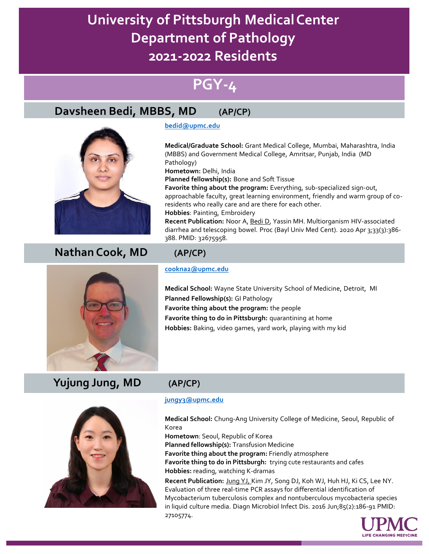# **PGY-4**

# **Davsheen Bedi, MBBS, MD (AP/CP)**



# **Nathan Cook, MD (AP/CP)**

# **[bedid@upmc.edu](mailto:bedid@upmc.edu)**

**Medical/Graduate School:** Grant Medical College, Mumbai, Maharashtra, India (MBBS) and Government Medical College, Amritsar, Punjab, India (MD Pathology)

**Hometown:** Delhi, India

**Planned fellowship(s):** Bone and Soft Tissue

**Favorite thing about the program:** Everything, sub-specialized sign-out, approachable faculty, great learning environment, friendly and warm group of coresidents who really care and are there for each other. **Hobbies**: Painting, Embroidery **Recent Publication:** Noor A, Bedi D, Yassin MH. Multiorganism HIV-associated diarrhea and telescoping bowel. Proc (Bayl Univ Med Cent). 2020 Apr 3;33(3):386-

### **[cookna2@upmc.edu](mailto:cookna2@upmc.edu)**

388. PMID: 32675958.

**Medical School:** Wayne State University School of Medicine, Detroit, MI **Planned Fellowship(s):** GI Pathology **Favorite thing about the program:** the people **Favorite thing to do in Pittsburgh:** quarantining at home **Hobbies:** Baking, video games, yard work, playing with my kid



### **[jungy3@upmc.edu](mailto:jungy3@upmc.edu)**

**Medical School:** Chung-Ang University College of Medicine, Seoul, Republic of Korea

**Hometown**: Seoul, Republic of Korea **Planned fellowship(s):** Transfusion Medicine **Favorite thing about the program:** Friendly atmosphere **Favorite thing to do in Pittsburgh:** trying cute restaurants and cafes **Hobbies:** reading, watching K-dramas

**Recent Publication:** Jung YJ, Kim JY, Song DJ, Koh WJ, Huh HJ, Ki CS, Lee NY. Evaluation of three real-time PCR assays for differential identification of Mycobacterium tuberculosis complex and nontuberculous mycobacteria species in liquid culture media. Diagn Microbiol Infect Dis. 2016 Jun;85(2):186-91 PMID: 27105774.





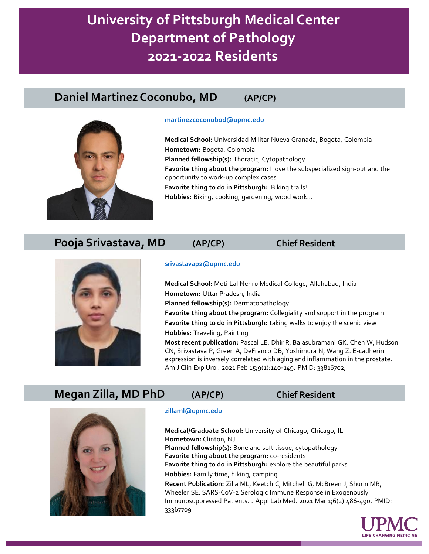## **Daniel Martinez Coconubo, MD (AP/CP)**



#### **[martinezcoconubod@upmc.edu](mailto:martinezcoconubod@upmc.edu)**

**Medical School:** Universidad Militar Nueva Granada, Bogota, Colombia **Hometown:** Bogota, Colombia **Planned fellowship(s):** Thoracic, Cytopathology **Favorite thing about the program:** I love the subspecialized sign-out and the opportunity to work-up complex cases. **Favorite thing to do in Pittsburgh:** Biking trails! **Hobbies:** Biking, cooking, gardening, wood work…

### **Pooja Srivastava, MD (AP/CP) Chief Resident**



#### **[srivastavap2@upmc.edu](mailto:srivastavap2@upmc.edu)**

**Medical School:** Moti Lal Nehru Medical College, Allahabad, India **Hometown:** Uttar Pradesh, India **Planned fellowship(s):** Dermatopathology **Favorite thing about the program:** Collegiality and support in the program **Favorite thing to do in Pittsburgh:** taking walks to enjoy the scenic view **Hobbies:** Traveling, Painting **Most recent publication:** Pascal LE, Dhir R, Balasubramani GK, Chen W, Hudson

CN, Srivastava P, Green A, DeFranco DB, Yoshimura N, Wang Z. E-cadherin expression is inversely correlated with aging and inflammation in the prostate. Am J Clin Exp Urol. 2021 Feb 15;9(1):140-149. PMID: 33816702;

## **Megan Zilla, MD PhD (AP/CP) Chief Resident**



#### **[zillaml@upmc.edu](mailto:zillaml@upmc.edu)**

**Medical/Graduate School:** University of Chicago, Chicago, IL **Hometown:** Clinton, NJ **Planned fellowship(s):** Bone and soft tissue, cytopathology **Favorite thing about the program:** co-residents **Favorite thing to do in Pittsburgh:** explore the beautiful parks **Hobbies:** Family time, hiking, camping. **Recent Publication:** Zilla ML, Keetch C, Mitchell G, McBreen J, Shurin MR,

Wheeler SE. SARS-CoV-2 Serologic Immune Response in Exogenously Immunosuppressed Patients. J Appl Lab Med. 2021 Mar 1;6(2):486-490. PMID: 33367709

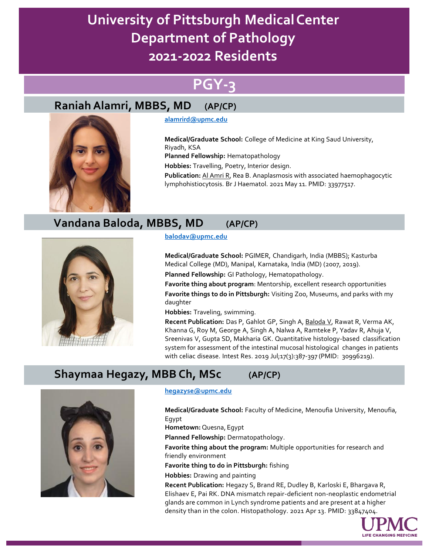# **PGY-3**

# **Raniah Alamri, MBBS, MD (AP/CP)**



### **[alamrird@upmc.edu](mailto:alamrird@upmc.edu)**

**Medical/Graduate School:** College of Medicine at King Saud University, Riyadh, KSA **Planned Fellowship:** Hematopathology

**Hobbies:** Travelling, Poetry, Interior design.

**Publication:** Al Amri R, Rea B. Anaplasmosis with associated haemophagocytic lymphohistiocytosis. Br J Haematol. 2021 May 11. PMID: 33977517.

# **Vandana Baloda, MBBS, MD (AP/CP)**



### **[balodav@upmc.edu](mailto:balodav@upmc.edu)**

**Medical/Graduate School:** PGIMER, Chandigarh, India (MBBS); Kasturba Medical College (MD), Manipal, Karnataka, India (MD) (2007, 2019). **Planned Fellowship:** GI Pathology, Hematopathology.

**Favorite thing about program**: Mentorship, excellent research opportunities **Favorite things to do in Pittsburgh:** Visiting Zoo, Museums, and parks with my daughter

**Hobbies:** Traveling, swimming.

**Recent Publication:** Das P, Gahlot GP, Singh A, Baloda V, Rawat R, Verma AK, Khanna G, Roy M, George A, Singh A, Nalwa A, Ramteke P, Yadav R, Ahuja V, Sreenivas V, Gupta SD, Makharia GK. Quantitative histology-based classification system for assessment of the intestinal mucosal histological changes in patients with celiac disease. Intest Res. 2019 Jul;17(3):387-397 (PMID: 30996219).

# **Shaymaa Hegazy, MBB Ch, MSc (AP/CP)**



### **[hegazyse@upmc.edu](mailto:hegazyse@upmc.edu)**

**Medical/Graduate School:** Faculty of Medicine, Menoufia University, Menoufia, Egypt **Hometown:** Quesna, Egypt **Planned Fellowship:** Dermatopathology. **Favorite thing about the program:** Multiple opportunities for research and friendly environment

**Favorite thing to do in Pittsburgh:** fishing

**Hobbies:** Drawing and painting

**Recent Publication:** Hegazy S, Brand RE, Dudley B, Karloski E, Bhargava R, Elishaev E, Pai RK. DNA mismatch repair-deficient non-neoplastic endometrial glands are common in Lynch syndrome patients and are present at a higher density than in the colon. Histopathology. 2021 Apr 13. PMID: 33847404.

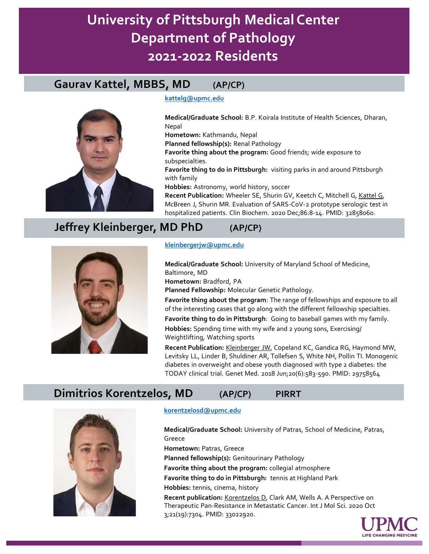## **Gaurav Kattel, MBBS, MD (AP/CP)**



#### **[kattelg@upmc.edu](mailto:kattelg@upmc.edu)**

**Medical/Graduate School:** B.P. Koirala Institute of Health Sciences, Dharan, Nepal **Hometown:** Kathmandu, Nepal **Planned fellowship(s):** Renal Pathology **Favorite thing about the program:** Good friends; wide exposure to subspecialties. **Favorite thing to do in Pittsburgh:** visiting parks in and around Pittsburgh with family **Hobbies:** Astronomy, world history, soccer **Recent Publication:** Wheeler SE, Shurin GV, Keetch C, Mitchell G, Kattel G, McBreen J, Shurin MR. Evaluation of SARS-CoV-2 prototype serologic test in hospitalized patients. Clin Biochem. 2020 Dec;86:8-14. PMID: 32858060.

# **Jeffrey Kleinberger, MD PhD (AP/CP)**



#### **[kleinbergerjw@upmc.edu](mailto:kleinbergerjw@upmc.edu)**

**Medical/Graduate School:** University of Maryland School of Medicine, Baltimore, MD **Hometown:** Bradford, PA **Planned Fellowship:** Molecular Genetic Pathology. **Favorite thing about the program**: The range of fellowships and exposure to all of the interesting cases that go along with the different fellowship specialties.

**Favorite thing to do in Pittsburgh**: Going to baseball games with my family.

**Hobbies:** Spending time with my wife and 2 young sons, Exercising/ Weightlifting, Watching sports

**Recent Publication:** Kleinberger JW, Copeland KC, Gandica RG, Haymond MW, Levitsky LL, Linder B, Shuldiner AR, Tollefsen S, White NH, Pollin TI. Monogenic diabetes in overweight and obese youth diagnosed with type 2 diabetes: the TODAY clinical trial. Genet Med. 2018 Jun;20(6):583-590. PMID: 29758564

## **Dimitrios Korentzelos, MD (AP/CP) PIRRT**



#### **[korentzelosd@upmc.edu](mailto:korentzelosd@upmc.edu)**

**Medical/Graduate School:** University of Patras, School of Medicine, Patras, Greece

**Hometown:** Patras, Greece

**Planned fellowship(s):** Genitourinary Pathology

**Favorite thing about the program:** collegial atmosphere

**Favorite thing to do in Pittsburgh:** tennis at Highland Park

**Hobbies:** tennis, cinema, history

**Recent publication:** Korentzelos D, Clark AM, Wells A. A Perspective on Therapeutic Pan-Resistance in Metastatic Cancer. Int J Mol Sci. 2020 Oct 3;21(19):7304. PMID: 33022920.

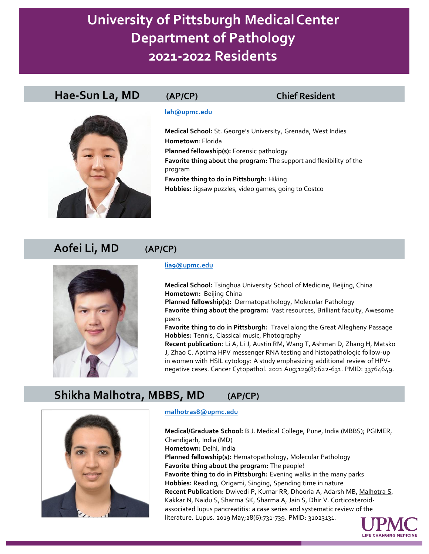## **Hae-Sun La, MD (AP/CP) Chief Resident**



### **[lah@upmc.edu](mailto:lah@upmc.edu)**

**Medical School:** St. George's University, Grenada, West Indies **Hometown**: Florida **Planned fellowship(s):** Forensic pathology **Favorite thing about the program:** The support and flexibility of the program **Favorite thing to do in Pittsburgh:** Hiking **Hobbies:** Jigsaw puzzles, video games, going to Costco

## **Aofei Li, MD (AP/CP)**



#### **[lia9@upmc.edu](mailto:lia9@upmc.edu)**

**Medical School:** Tsinghua University School of Medicine, Beijing, China **Hometown:** Beijing China **Planned fellowship(s):** Dermatopathology, Molecular Pathology **Favorite thing about the program:** Vast resources, Brilliant faculty, Awesome peers

**Favorite thing to do in Pittsburgh:** Travel along the Great Allegheny Passage **Hobbies:** Tennis, Classical music, Photography

**Recent publication**: Li A, Li J, Austin RM, Wang T, Ashman D, Zhang H, Matsko J, Zhao C. Aptima HPV messenger RNA testing and histopathologic follow-up in women with HSIL cytology: A study emphasizing additional review of HPVnegative cases. Cancer Cytopathol. 2021 Aug;129(8):622-631. PMID: 33764649.

## **Shikha Malhotra, MBBS, MD (AP/CP)**



### **[malhotras8@upmc.edu](mailto:malhotras8@upmc.edu)**

**Medical/Graduate School:** B.J. Medical College, Pune, India (MBBS); PGIMER, Chandigarh, India (MD) **Hometown:** Delhi, India **Planned fellowship(s):** Hematopathology, Molecular Pathology **Favorite thing about the program:** The people! **Favorite thing to do in Pittsburgh:** Evening walks in the many parks **Hobbies:** Reading, Origami, Singing, Spending time in nature **Recent Publication**: Dwivedi P, Kumar RR, Dhooria A, Adarsh MB, Malhotra S, Kakkar N, Naidu S, Sharma SK, Sharma A, Jain S, Dhir V. Corticosteroidassociated lupus pancreatitis: a case series and systematic review of the literature. Lupus. 2019 May;28(6):731-739. PMID: 31023131.

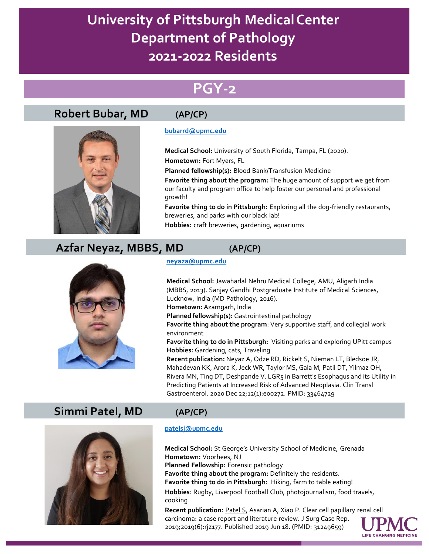# **PGY-2**

# **Robert Bubar, MD (AP/CP)**



### **[bubarrd@upmc.edu](mailto:bubarrd@upmc.edu)**

**Medical School:** University of South Florida, Tampa, FL (2020). **Hometown:** Fort Myers, FL

**Planned fellowship(s):** Blood Bank/Transfusion Medicine

**Favorite thing about the program:** The huge amount of support we get from our faculty and program office to help foster our personal and professional growth!

**Favorite thing to do in Pittsburgh:** Exploring all the dog-friendly restaurants, breweries, and parks with our black lab!

**Hobbies:** craft breweries, gardening, aquariums

# **Azfar Neyaz, MBBS, MD (AP/CP)**



#### **[neyaza@upmc.edu](mailto:neyaza@upmc.edu)**

**Medical School:** Jawaharlal Nehru Medical College, AMU, Aligarh India (MBBS, 2013). Sanjay Gandhi Postgraduate Institute of Medical Sciences, Lucknow, India (MD Pathology, 2016). **Hometown:** Azamgarh, India

**Planned fellowship(s):** Gastrointestinal pathology

**Favorite thing about the program**: Very supportive staff, and collegial work environment

**Favorite thing to do in Pittsburgh:** Visiting parks and exploring UPitt campus **Hobbies:** Gardening, cats, Traveling

**Recent publication:** Neyaz A, Odze RD, Rickelt S, Nieman LT, Bledsoe JR, Mahadevan KK, Arora K, Jeck WR, Taylor MS, Gala M, Patil DT, Yilmaz OH, Rivera MN, Ting DT, Deshpande V. LGR5 in Barrett's Esophagus and its Utility in Predicting Patients at Increased Risk of Advanced Neoplasia. Clin Transl Gastroenterol. 2020 Dec 22;12(1):e00272. PMID: 33464729

## **Simmi Patel, MD (AP/CP)**



### **[patelsj@upmc.edu](mailto:patelsj@upmc.edu)**

**Medical School:** St George's University School of Medicine, Grenada **Hometown:** Voorhees, NJ **Planned Fellowship:** Forensic pathology **Favorite thing about the program:** Definitely the residents. **Favorite thing to do in Pittsburgh:** Hiking, farm to table eating! **Hobbies**: Rugby, Liverpool Football Club, photojournalism, food travels, cooking

**Recent publication: Patel S, Asarian A, Xiao P. Clear cell papillary renal cell** carcinoma: a case report and literature review. J Surg Case Rep. 2019;2019(6):rjz177. Published 2019 Jun 18. (PMID: 31249659)

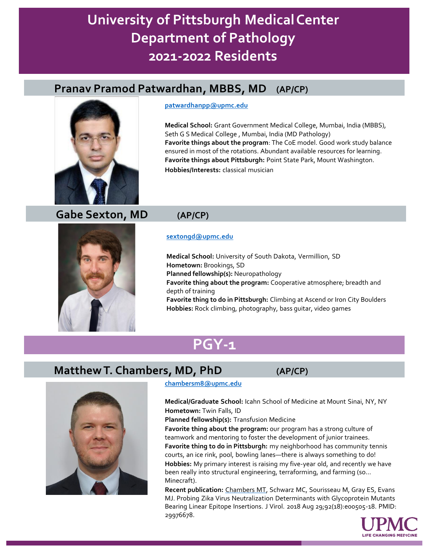# **Pranav Pramod Patwardhan, MBBS, MD (AP/CP)**



#### **[patwardhanpp@upmc.edu](mailto:patwardhanpp@upmc.edu)**

**Medical School:** Grant Government Medical College, Mumbai, India (MBBS), Seth G S Medical College , Mumbai, India (MD Pathology) **Favorite things about the program**: The CoE model. Good work study balance ensured in most of the rotations. Abundant available resources for learning. **Favorite things about Pittsburgh:** Point State Park, Mount Washington. **Hobbies/Interests:** classical musician

## **Gabe Sexton, MD (AP/CP)**



#### **[sextongd@upmc.edu](mailto:sextongd@upmc.edu)**

**Medical School:** University of South Dakota, Vermillion, SD **Hometown:** Brookings, SD **Planned fellowship(s):** Neuropathology **Favorite thing about the program:** Cooperative atmosphere; breadth and depth of training **Favorite thing to do in Pittsburgh:** Climbing at Ascend or Iron City Boulders **Hobbies:** Rock climbing, photography, bass guitar, video games

# **PGY-1**

# **Matthew T. Chambers, MD, PhD (AP/CP)**



### **[chambersm8@upmc.edu](mailto:chambersm8@upmc.edu)**

**Medical/Graduate School:** Icahn School of Medicine at Mount Sinai, NY, NY **Hometown:** Twin Falls, ID

**Planned fellowship(s):** Transfusion Medicine

**Favorite thing about the program:** our program has a strong culture of teamwork and mentoring to foster the development of junior trainees. **Favorite thing to do in Pittsburgh:** my neighborhood has community tennis courts, an ice rink, pool, bowling lanes—there is always something to do! **Hobbies:** My primary interest is raising my five-year old, and recently we have been really into structural engineering, terraforming, and farming (so… Minecraft).

**Recent publication:** Chambers MT, Schwarz MC, Sourisseau M, Gray ES, Evans MJ. Probing Zika Virus Neutralization Determinants with Glycoprotein Mutants Bearing Linear Epitope Insertions. J Virol. 2018 Aug 29;92(18):e00505-18. PMID: 29976678.

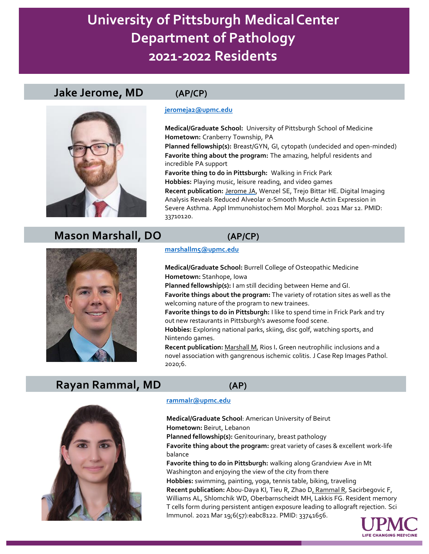### **Jake Jerome, MD (AP/CP)**



**[jeromeja2@upmc.edu](mailto:jeromeja2@upmc.edu)**

**Medical/Graduate School:** University of Pittsburgh School of Medicine **Hometown:** Cranberry Township, PA

**Planned fellowship(s):** Breast/GYN, GI, cytopath (undecided and open-minded) **Favorite thing about the program:** The amazing, helpful residents and incredible PA support

**Favorite thing to do in Pittsburgh:** Walking in Frick Park **Hobbies:** Playing music, leisure reading, and video games

**Recent publication:** Jerome JA, Wenzel SE, Trejo Bittar HE. Digital Imaging Analysis Reveals Reduced Alveolar α-Smooth Muscle Actin Expression in Severe Asthma. Appl Immunohistochem Mol Morphol. 2021 Mar 12. PMID: 33710120.

## **Mason Marshall, DO (AP/CP)**

**marshallm5@upmc.edu**

**Medical/Graduate School:** Burrell College of Osteopathic Medicine **Hometown:** Stanhope, Iowa

**Planned fellowship(s):** I am still deciding between Heme and GI.

**Favorite things about the program:** The variety of rotation sites as well as the welcoming nature of the program to new trainees.

**Favorite things to do in Pittsburgh:** I like to spend time in Frick Park and try out new restaurants in Pittsburgh's awesome food scene.

**Hobbies:** Exploring national parks, skiing, disc golf, watching sports, and Nintendo games.

**Recent publication:** Marshall M, Rios I**.** Green neutrophilic inclusions and a novel association with gangrenous ischemic colitis. J Case Rep Images Pathol. 2020;6.

## **Rayan Rammal, MD (AP)**



### **[rammalr@upmc.edu](mailto:rammalr@upmc.edu)**

**Medical/Graduate School**: American University of Beirut **Hometown:** Beirut, Lebanon

**Planned fellowship(s):** Genitourinary, breast pathology

**Favorite thing about the program:** great variety of cases & excellent work-life balance

**Favorite thing to do in Pittsburgh:** walking along Grandview Ave in Mt Washington and enjoying the view of the city from there

**Hobbies:** swimming, painting, yoga, tennis table, biking, traveling **Recent publication:** Abou-Daya KI, Tieu R, Zhao D, Rammal R, Sacirbegovic F, Williams AL, Shlomchik WD, Oberbarnscheidt MH, Lakkis FG. Resident memory T cells form during persistent antigen exposure leading to allograft rejection. Sci Immunol. 2021 Mar 19;6(57):eabc8122. PMID: 33741656.